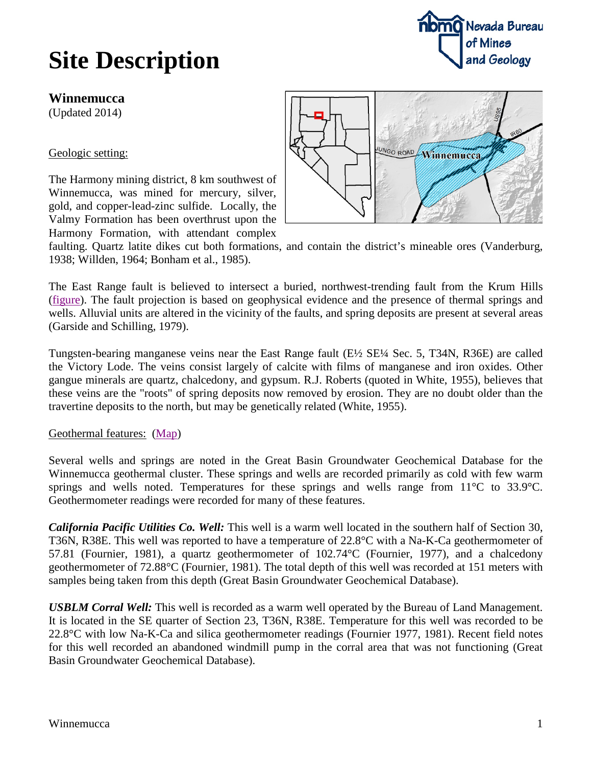# **Site Description**



**Winnemucca**

(Updated 2014)

Geologic setting:

The Harmony mining district, 8 km southwest of Winnemucca, was mined for mercury, silver, gold, and copper-lead-zinc sulfide. Locally, the Valmy Formation has been overthrust upon the Harmony Formation, with attendant complex



faulting. Quartz latite dikes cut both formations, and contain the district's mineable ores (Vanderburg, 1938; Willden, 1964; Bonham et al., 1985).

The East Range fault is believed to intersect a buried, northwest-trending fault from the Krum Hills [\(figure\)](http://data.nbmg.unr.edu/Public/Geothermal/figures/fig29.pdf). The fault projection is based on geophysical evidence and the presence of thermal springs and wells. Alluvial units are altered in the vicinity of the faults, and spring deposits are present at several areas (Garside and Schilling, 1979).

Tungsten-bearing manganese veins near the East Range fault (E½ SE¼ Sec. 5, T34N, R36E) are called the Victory Lode. The veins consist largely of calcite with films of manganese and iron oxides. Other gangue minerals are quartz, chalcedony, and gypsum. R.J. Roberts (quoted in White, 1955), believes that these veins are the "roots" of spring deposits now removed by erosion. They are no doubt older than the travertine deposits to the north, but may be genetically related (White, 1955).

#### Geothermal features: [\(Map\)](http://data.nbmg.unr.edu/Public/Geothermal/detailedmaps/Northern%20East%20Range.pdf)

Several wells and springs are noted in the Great Basin Groundwater Geochemical Database for the Winnemucca geothermal cluster. These springs and wells are recorded primarily as cold with few warm springs and wells noted. Temperatures for these springs and wells range from 11<sup>o</sup>C to 33.9<sup>o</sup>C. Geothermometer readings were recorded for many of these features.

*California Pacific Utilities Co. Well:* This well is a warm well located in the southern half of Section 30, T36N, R38E. This well was reported to have a temperature of 22.8°C with a Na-K-Ca geothermometer of 57.81 (Fournier, 1981), a quartz geothermometer of 102.74°C (Fournier, 1977), and a chalcedony geothermometer of 72.88°C (Fournier, 1981). The total depth of this well was recorded at 151 meters with samples being taken from this depth (Great Basin Groundwater Geochemical Database).

*USBLM Corral Well:* This well is recorded as a warm well operated by the Bureau of Land Management. It is located in the SE quarter of Section 23, T36N, R38E. Temperature for this well was recorded to be 22.8°C with low Na-K-Ca and silica geothermometer readings (Fournier 1977, 1981). Recent field notes for this well recorded an abandoned windmill pump in the corral area that was not functioning (Great Basin Groundwater Geochemical Database).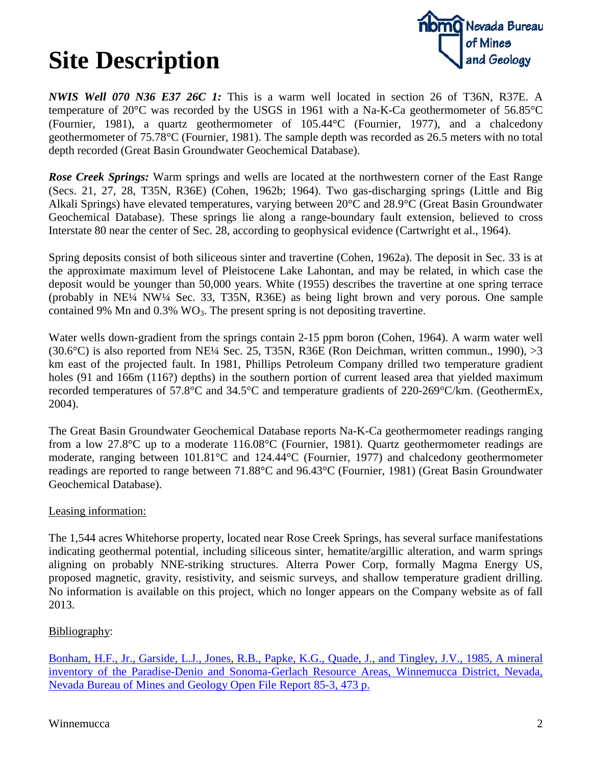# **Site Description**



*NWIS Well 070 N36 E37 26C 1:* This is a warm well located in section 26 of T36N, R37E. A temperature of 20°C was recorded by the USGS in 1961 with a Na-K-Ca geothermometer of 56.85°C (Fournier, 1981), a quartz geothermometer of 105.44°C (Fournier, 1977), and a chalcedony geothermometer of 75.78°C (Fournier, 1981). The sample depth was recorded as 26.5 meters with no total depth recorded (Great Basin Groundwater Geochemical Database).

*Rose Creek Springs:* Warm springs and wells are located at the northwestern corner of the East Range (Secs. 21, 27, 28, T35N, R36E) (Cohen, 1962b; 1964). Two gas-discharging springs (Little and Big Alkali Springs) have elevated temperatures, varying between 20°C and 28.9°C (Great Basin Groundwater Geochemical Database). These springs lie along a range-boundary fault extension, believed to cross Interstate 80 near the center of Sec. 28, according to geophysical evidence (Cartwright et al., 1964).

Spring deposits consist of both siliceous sinter and travertine (Cohen, 1962a). The deposit in Sec. 33 is at the approximate maximum level of Pleistocene Lake Lahontan, and may be related, in which case the deposit would be younger than 50,000 years. White (1955) describes the travertine at one spring terrace (probably in NE¼ NW¼ Sec. 33, T35N, R36E) as being light brown and very porous. One sample contained 9% Mn and  $0.3\%$  WO<sub>3</sub>. The present spring is not depositing travertine.

Water wells down-gradient from the springs contain 2-15 ppm boron (Cohen, 1964). A warm water well (30.6°C) is also reported from NE<sup> $1/4$ </sup> Sec. 25, T35N, R36E (Ron Deichman, written commun., 1990),  $>3$ km east of the projected fault. In 1981, Phillips Petroleum Company drilled two temperature gradient holes (91 and 166m (116?) depths) in the southern portion of current leased area that yielded maximum recorded temperatures of 57.8°C and 34.5°C and temperature gradients of 220-269°C/km. (GeothermEx, 2004).

The Great Basin Groundwater Geochemical Database reports Na-K-Ca geothermometer readings ranging from a low 27.8°C up to a moderate 116.08°C (Fournier, 1981). Quartz geothermometer readings are moderate, ranging between 101.81°C and 124.44°C (Fournier, 1977) and chalcedony geothermometer readings are reported to range between 71.88°C and 96.43°C (Fournier, 1981) (Great Basin Groundwater Geochemical Database).

### Leasing information:

The 1,544 acres Whitehorse property, located near Rose Creek Springs, has several surface manifestations indicating geothermal potential, including siliceous sinter, hematite/argillic alteration, and warm springs aligning on probably NNE-striking structures. Alterra Power Corp, formally Magma Energy US, proposed magnetic, gravity, resistivity, and seismic surveys, and shallow temperature gradient drilling. No information is available on this project, which no longer appears on the Company website as of fall 2013.

### Bibliography:

[Bonham, H.F., Jr., Garside, L.J., Jones, R.B., Papke, K.G., Quade, J., and Tingley, J.V., 1985, A mineral](http://www.nbmg.unr.edu/dox/of8503.pdf)  [inventory of the Paradise-Denio and Sonoma-Gerlach Resource Areas, Winnemucca District, Nevada,](http://www.nbmg.unr.edu/dox/of8503.pdf)  [Nevada Bureau of Mines and Geology Open File Report 85-3, 473 p.](http://www.nbmg.unr.edu/dox/of8503.pdf)